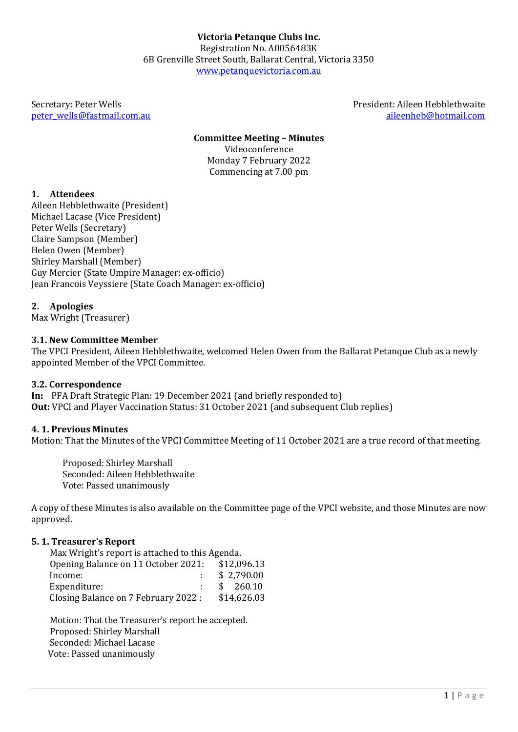[peter\\_wells@fastmail.com.au](mailto:peter_wells@fastmail.com.au)

Secretary: Peter Wells President: Aileen Hebblethwaite<br>
Deter wells @fastmail.com.au aileenheb @hotmail.com

#### **Committee Meeting – Minutes** Videoconference Monday 7 February 2022 Commencing at 7.00 pm

### **1. Attendees**

Aileen Hebblethwaite (President) Michael Lacase (Vice President) Peter Wells (Secretary) Claire Sampson (Member) Helen Owen (Member) Shirley Marshall (Member) Guy Mercier (State Umpire Manager: ex-officio) Jean Francois Veyssiere (State Coach Manager: ex-officio)

### **2. Apologies**

Max Wright (Treasurer)

#### **3.1. New Committee Member**

The VPCI President, Aileen Hebblethwaite, welcomed Helen Owen from the Ballarat Petanque Club as a newly appointed Member of the VPCI Committee.

#### **3.2. Correspondence**

**In:** PFA Draft Strategic Plan: 19 December 2021 (and briefly responded to) **Out:** VPCI and Player Vaccination Status: 31 October 2021 (and subsequent Club replies)

#### **4. 1. Previous Minutes**

Motion: That the Minutes of the VPCI Committee Meeting of 11 October 2021 are a true record of that meeting.

Proposed: Shirley Marshall Seconded: Aileen Hebblethwaite Vote: Passed unanimously

A copy of these Minutes is also available on the Committee page of the VPCI website, and those Minutes are now approved.

#### **5. 1. Treasurer's Report**

Max Wright's report is attached to this Agenda.<br>Opening Balance on 11 October 2021: \$12.096.13 Opening Balance on 11 October 2021:<br>Income: : \$ 2,790.00  $\begin{array}{r} \text{:} \quad \$ \quad 260.10 \\ \text{:} \quad \$14.626.03 \end{array}$ Income: Expenditure: Closing Balance on 7 February 2022 :

Motion: That the Treasurer's report be accepted. Proposed: Shirley Marshall Seconded: Michael Lacase Vote: Passed unanimously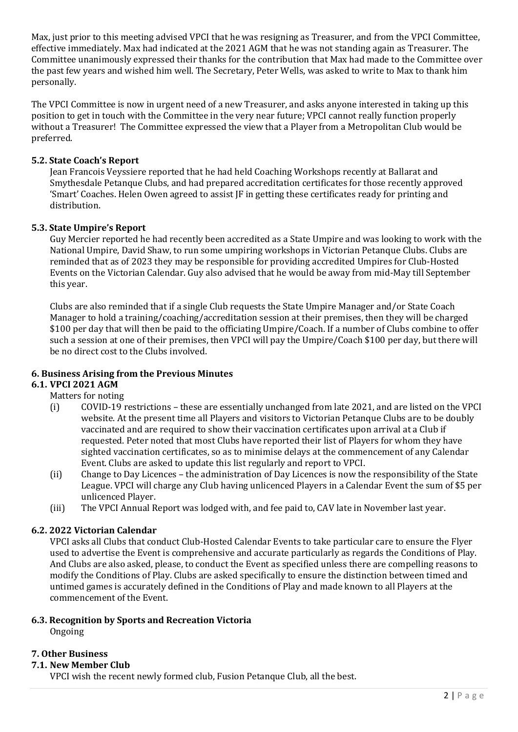Max, just prior to this meeting advised VPCI that he was resigning as Treasurer, and from the VPCI Committee, effective immediately. Max had indicated at the 2021 AGM that he was not standing again as Treasurer. The Committee unanimously expressed their thanks for the contribution that Max had made to the Committee over the past few years and wished him well. The Secretary, Peter Wells, was asked to write to Max to thank him personally.

The VPCI Committee is now in urgent need of a new Treasurer, and asks anyone interested in taking up this position to get in touch with the Committee in the very near future; VPCI cannot really function properly without a Treasurer! The Committee expressed the view that a Player from a Metropolitan Club would be preferred.

## **5.2. State Coach's Report**

Jean Francois Veyssiere reported that he had held Coaching Workshops recently at Ballarat and Smythesdale Petanque Clubs, and had prepared accreditation certificates for those recently approved 'Smart' Coaches. Helen Owen agreed to assist JF in getting these certificates ready for printing and distribution.

## **5.3. State Umpire's Report**

Guy Mercier reported he had recently been accredited as a State Umpire and was looking to work with the National Umpire, David Shaw, to run some umpiring workshops in Victorian Petanque Clubs. Clubs are reminded that as of 2023 they may be responsible for providing accredited Umpires for Club-Hosted Events on the Victorian Calendar. Guy also advised that he would be away from mid-May till September this year.

Clubs are also reminded that if a single Club requests the State Umpire Manager and/or State Coach Manager to hold a training/coaching/accreditation session at their premises, then they will be charged \$100 per day that will then be paid to the officiating Umpire/Coach. If a number of Clubs combine to offer such a session at one of their premises, then VPCI will pay the Umpire/Coach \$100 per day, but there will be no direct cost to the Clubs involved.

# **6. Business Arising from the Previous Minutes**

### **6.1. VPCI 2021 AGM**

### Matters for noting

- (i) COVID-19 restrictions these are essentially unchanged from late 2021, and are listed on the VPCI website. At the present time all Players and visitors to Victorian Petanque Clubs are to be doubly vaccinated and are required to show their vaccination certificates upon arrival at a Club if requested. Peter noted that most Clubs have reported their list of Players for whom they have sighted vaccination certificates, so as to minimise delays at the commencement of any Calendar Event. Clubs are asked to update this list regularly and report to VPCI.
- (ii) Change to Day Licences the administration of Day Licences is now the responsibility of the State League. VPCI will charge any Club having unlicenced Players in a Calendar Event the sum of \$5 per unlicenced Player.
- (iii) The VPCI Annual Report was lodged with, and fee paid to, CAV late in November last year.

# **6.2. 2022 Victorian Calendar**

VPCI asks all Clubs that conduct Club-Hosted Calendar Events to take particular care to ensure the Flyer used to advertise the Event is comprehensive and accurate particularly as regards the Conditions of Play. And Clubs are also asked, please, to conduct the Event as specified unless there are compelling reasons to modify the Conditions of Play. Clubs are asked specifically to ensure the distinction between timed and untimed games is accurately defined in the Conditions of Play and made known to all Players at the commencement of the Event.

### **6.3. Recognition by Sports and Recreation Victoria**

Ongoing

### **7. Other Business**

### **7.1. New Member Club**

VPCI wish the recent newly formed club, Fusion Petanque Club, all the best.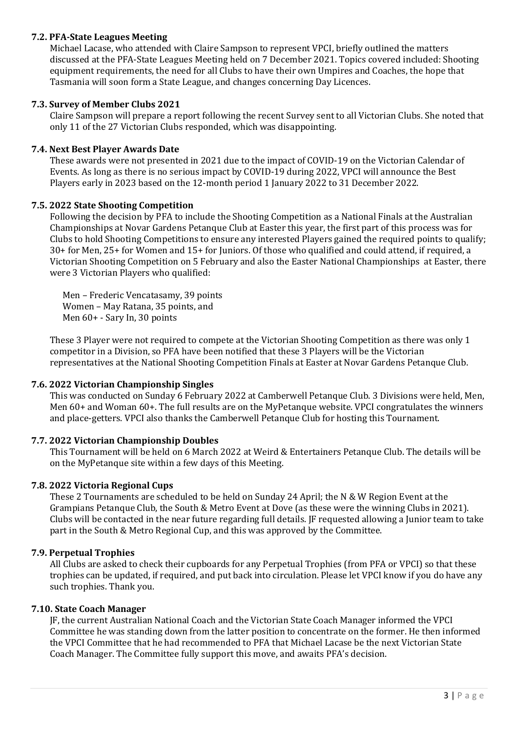### **7.2. PFA-State Leagues Meeting**

Michael Lacase, who attended with Claire Sampson to represent VPCI, briefly outlined the matters discussed at the PFA-State Leagues Meeting held on 7 December 2021. Topics covered included: Shooting equipment requirements, the need for all Clubs to have their own Umpires and Coaches, the hope that Tasmania will soon form a State League, and changes concerning Day Licences.

### **7.3. Survey of Member Clubs 2021**

Claire Sampson will prepare a report following the recent Survey sent to all Victorian Clubs. She noted that only 11 of the 27 Victorian Clubs responded, which was disappointing.

# **7.4. Next Best Player Awards Date**

These awards were not presented in 2021 due to the impact of COVID-19 on the Victorian Calendar of Events. As long as there is no serious impact by COVID-19 during 2022, VPCI will announce the Best Players early in 2023 based on the 12-month period 1 January 2022 to 31 December 2022.

### **7.5. 2022 State Shooting Competition**

Following the decision by PFA to include the Shooting Competition as a National Finals at the Australian Championships at Novar Gardens Petanque Club at Easter this year, the first part of this process was for Clubs to hold Shooting Competitions to ensure any interested Players gained the required points to qualify; 30+ for Men, 25+ for Women and 15+ for Juniors. Of those who qualified and could attend, if required, a Victorian Shooting Competition on 5 February and also the Easter National Championships at Easter, there were 3 Victorian Players who qualified:

Men – Frederic Vencatasamy, 39 points Women – May Ratana, 35 points, and Men 60+ - Sary In, 30 points

These 3 Player were not required to compete at the Victorian Shooting Competition as there was only 1 competitor in a Division, so PFA have been notified that these 3 Players will be the Victorian representatives at the National Shooting Competition Finals at Easter at Novar Gardens Petanque Club.

### **7.6. 2022 Victorian Championship Singles**

This was conducted on Sunday 6 February 2022 at Camberwell Petanque Club. 3 Divisions were held, Men, Men 60+ and Woman 60+. The full results are on the MyPetanque website. VPCI congratulates the winners and place-getters. VPCI also thanks the Camberwell Petanque Club for hosting this Tournament.

### **7.7. 2022 Victorian Championship Doubles**

This Tournament will be held on 6 March 2022 at Weird & Entertainers Petanque Club. The details will be on the MyPetanque site within a few days of this Meeting.

### **7.8. 2022 Victoria Regional Cups**

These 2 Tournaments are scheduled to be held on Sunday 24 April; the N & W Region Event at the Grampians Petanque Club, the South & Metro Event at Dove (as these were the winning Clubs in 2021). Clubs will be contacted in the near future regarding full details. JF requested allowing a Junior team to take part in the South & Metro Regional Cup, and this was approved by the Committee.

### **7.9. Perpetual Trophies**

All Clubs are asked to check their cupboards for any Perpetual Trophies (from PFA or VPCI) so that these trophies can be updated, if required, and put back into circulation. Please let VPCI know if you do have any such trophies. Thank you.

### **7.10. State Coach Manager**

JF, the current Australian National Coach and the Victorian State Coach Manager informed the VPCI Committee he was standing down from the latter position to concentrate on the former. He then informed the VPCI Committee that he had recommended to PFA that Michael Lacase be the next Victorian State Coach Manager. The Committee fully support this move, and awaits PFA's decision.